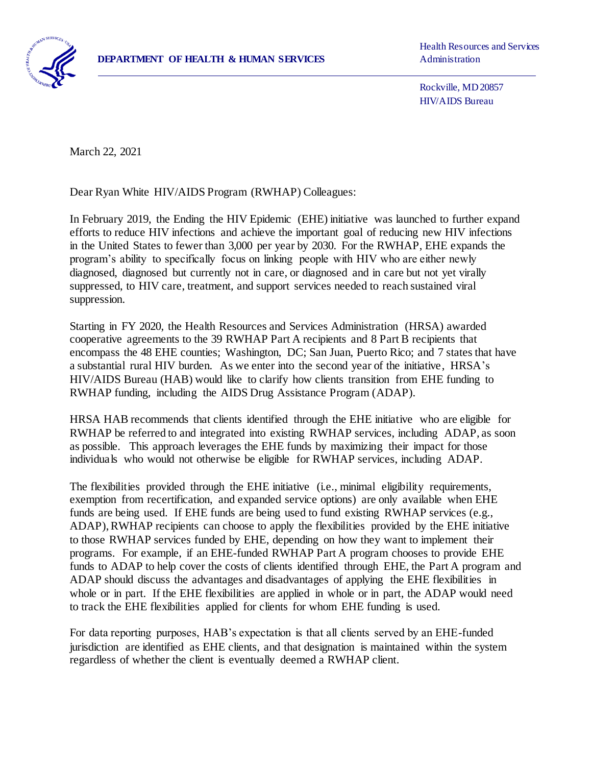

Health Resources and Services

 Rockville, MD 20857 HIV/AIDS Bureau

March 22, 2021

 $\overline{a}$ 

Dear Ryan White HIV/AIDS Program (RWHAP) Colleagues:

In February 2019, the Ending the HIV Epidemic (EHE) initiative was launched to further expand efforts to reduce HIV infections and achieve the important goal of reducing new HIV infections in the United States to fewer than 3,000 per year by 2030. For the RWHAP, EHE expands the program's ability to specifically focus on linking people with HIV who are either newly diagnosed, diagnosed but currently not in care, or diagnosed and in care but not yet virally suppressed, to HIV care, treatment, and support services needed to reach sustained viral suppression.

Starting in FY 2020, the Health Resources and Services Administration (HRSA) awarded cooperative agreements to the 39 RWHAP Part A recipients and 8 Part B recipients that encompass the 48 EHE counties; Washington, DC; San Juan, Puerto Rico; and 7 states that have a substantial rural HIV burden. As we enter into the second year of the initiative, HRSA's HIV/AIDS Bureau (HAB) would like to clarify how clients transition from EHE funding to RWHAP funding, including the AIDS Drug Assistance Program (ADAP).

HRSA HAB recommends that clients identified through the EHE initiative who are eligible for RWHAP be referred to and integrated into existing RWHAP services, including ADAP, as soon as possible. This approach leverages the EHE funds by maximizing their impact for those individuals who would not otherwise be eligible for RWHAP services, including ADAP.

The flexibilities provided through the EHE initiative (i.e., minimal eligibility requirements, exemption from recertification, and expanded service options) are only available when EHE funds are being used. If EHE funds are being used to fund existing RWHAP services (e.g., ADAP),RWHAP recipients can choose to apply the flexibilities provided by the EHE initiative to those RWHAP services funded by EHE, depending on how they want to implement their programs. For example, if an EHE-funded RWHAP Part A program chooses to provide EHE funds to ADAP to help cover the costs of clients identified through EHE, the Part A program and ADAP should discuss the advantages and disadvantages of applying the EHE flexibilities in whole or in part. If the EHE flexibilities are applied in whole or in part, the ADAP would need to track the EHE flexibilities applied for clients for whom EHE funding is used.

For data reporting purposes, HAB's expectation is that all clients served by an EHE-funded jurisdiction are identified as EHE clients, and that designation is maintained within the system regardless of whether the client is eventually deemed a RWHAP client.